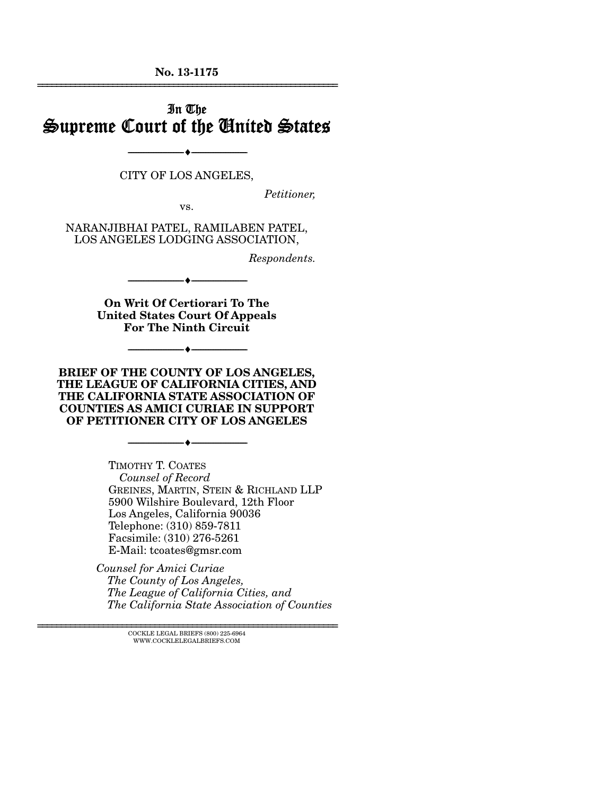**No. 13-1175**  ================================================================

# In The Supreme Court of the United States

CITY OF LOS ANGELES,

--------------------------------- ---------------------------------

*Petitioner,* 

vs.

NARANJIBHAI PATEL, RAMILABEN PATEL, LOS ANGELES LODGING ASSOCIATION,

*Respondents.* 

**On Writ Of Certiorari To The United States Court Of Appeals For The Ninth Circuit** 

--------------------------------- ---------------------------------

--------------------------------- ---------------------------------

**BRIEF OF THE COUNTY OF LOS ANGELES, THE LEAGUE OF CALIFORNIA CITIES, AND THE CALIFORNIA STATE ASSOCIATION OF COUNTIES AS AMICI CURIAE IN SUPPORT OF PETITIONER CITY OF LOS ANGELES** 

--------------------------------- ---------------------------------

TIMOTHY T. COATES *Counsel of Record* GREINES, MARTIN, STEIN & RICHLAND LLP 5900 Wilshire Boulevard, 12th Floor Los Angeles, California 90036 Telephone: (310) 859-7811 Facsimile: (310) 276-5261 E-Mail: tcoates@gmsr.com

*Counsel for Amici Curiae The County of Los Angeles, The League of California Cities, and The California State Association of Counties* 

> $\textsc{COCKLE}$  LEGAL BRIEFS (800) 225-6964 WWW.COCKLELEGALBRIEFS.COM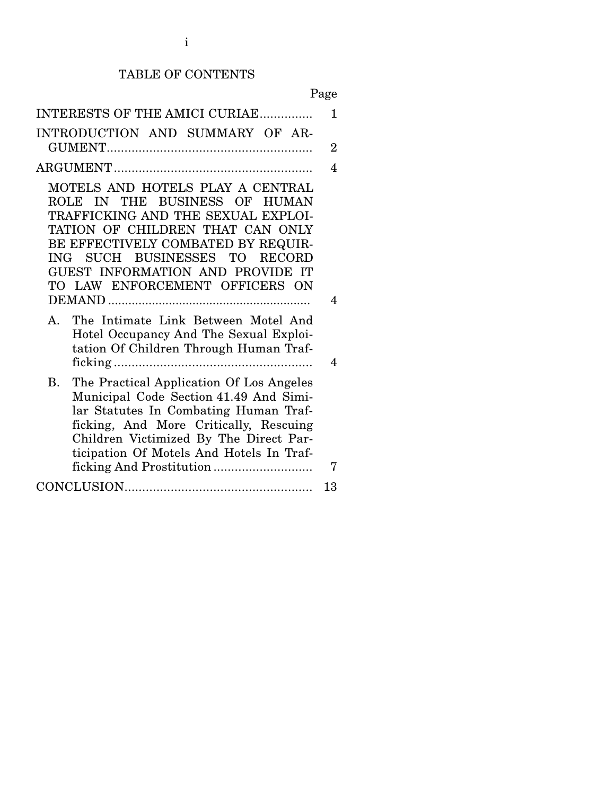# TABLE OF CONTENTS

| INTERESTS OF THE AMICI CURIAE                                                                                                                                                                                                                                                            | 1              |
|------------------------------------------------------------------------------------------------------------------------------------------------------------------------------------------------------------------------------------------------------------------------------------------|----------------|
| INTRODUCTION AND SUMMARY OF AR-                                                                                                                                                                                                                                                          | $\overline{2}$ |
|                                                                                                                                                                                                                                                                                          | 4              |
| MOTELS AND HOTELS PLAY A CENTRAL<br>ROLE IN THE BUSINESS OF HUMAN<br>TRAFFICKING AND THE SEXUAL EXPLOI-<br>TATION OF CHILDREN THAT CAN ONLY<br>BE EFFECTIVELY COMBATED BY REQUIR-<br>ING SUCH BUSINESSES TO RECORD<br>GUEST INFORMATION AND PROVIDE IT<br>TO LAW ENFORCEMENT OFFICERS ON | 4              |
| The Intimate Link Between Motel And<br>Α.<br>Hotel Occupancy And The Sexual Exploi-<br>tation Of Children Through Human Traf-                                                                                                                                                            | 4              |
| The Practical Application Of Los Angeles<br><b>B</b> .<br>Municipal Code Section 41.49 And Simi-<br>lar Statutes In Combating Human Traf-<br>ficking, And More Critically, Rescuing<br>Children Victimized By The Direct Par-<br>ticipation Of Motels And Hotels In Traf-                | 7              |
|                                                                                                                                                                                                                                                                                          | 13             |
|                                                                                                                                                                                                                                                                                          |                |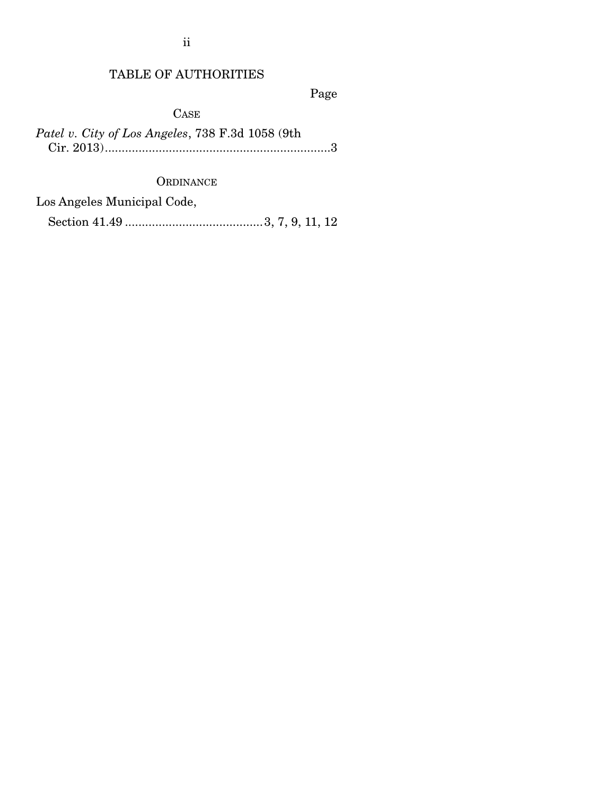ii

## TABLE OF AUTHORITIES

Page

**CASE** 

*Patel v. City of Los Angeles*, 738 F.3d 1058 (9th Cir. 2013) ................................................................... 3

### **ORDINANCE**

Los Angeles Municipal Code,

Section 41.49 ......................................... 3, 7, 9, 11, 12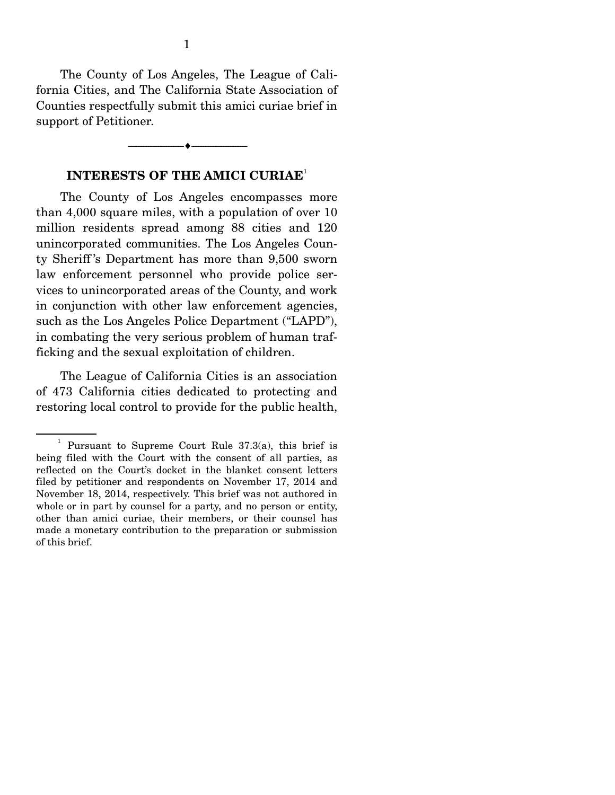The County of Los Angeles, The League of California Cities, and The California State Association of Counties respectfully submit this amici curiae brief in support of Petitioner.

#### **INTERESTS OF THE AMICI CURIAE**<sup>1</sup>

--------------------------------- ---------------------------------

The County of Los Angeles encompasses more than 4,000 square miles, with a population of over 10 million residents spread among 88 cities and 120 unincorporated communities. The Los Angeles County Sheriff 's Department has more than 9,500 sworn law enforcement personnel who provide police services to unincorporated areas of the County, and work in conjunction with other law enforcement agencies, such as the Los Angeles Police Department ("LAPD"), in combating the very serious problem of human trafficking and the sexual exploitation of children.

 The League of California Cities is an association of 473 California cities dedicated to protecting and restoring local control to provide for the public health,

<sup>&</sup>lt;sup>1</sup> Pursuant to Supreme Court Rule  $37.3(a)$ , this brief is being filed with the Court with the consent of all parties, as reflected on the Court's docket in the blanket consent letters filed by petitioner and respondents on November 17, 2014 and November 18, 2014, respectively. This brief was not authored in whole or in part by counsel for a party, and no person or entity, other than amici curiae, their members, or their counsel has made a monetary contribution to the preparation or submission of this brief.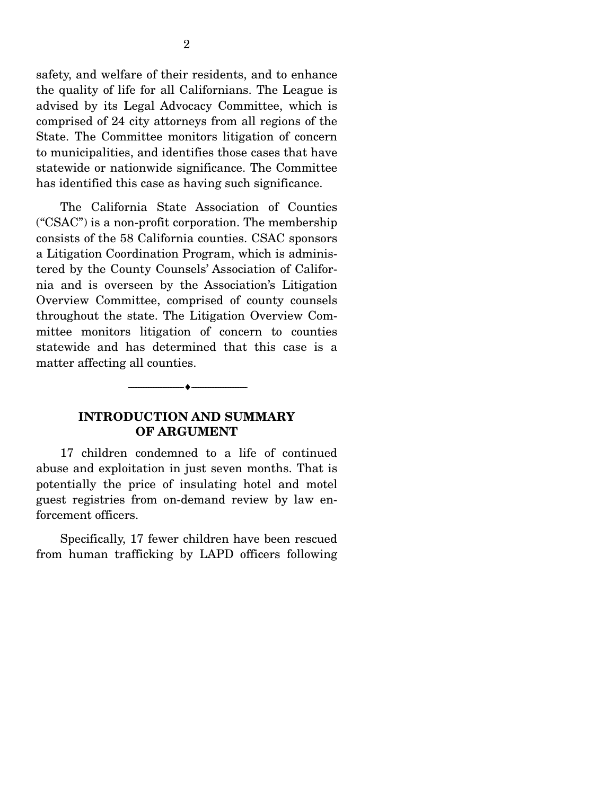safety, and welfare of their residents, and to enhance the quality of life for all Californians. The League is advised by its Legal Advocacy Committee, which is comprised of 24 city attorneys from all regions of the State. The Committee monitors litigation of concern to municipalities, and identifies those cases that have statewide or nationwide significance. The Committee has identified this case as having such significance.

 The California State Association of Counties ("CSAC") is a non-profit corporation. The membership consists of the 58 California counties. CSAC sponsors a Litigation Coordination Program, which is administered by the County Counsels' Association of California and is overseen by the Association's Litigation Overview Committee, comprised of county counsels throughout the state. The Litigation Overview Committee monitors litigation of concern to counties statewide and has determined that this case is a matter affecting all counties.

#### **INTRODUCTION AND SUMMARY OF ARGUMENT**

--------------------------------- ---------------------------------

17 children condemned to a life of continued abuse and exploitation in just seven months. That is potentially the price of insulating hotel and motel guest registries from on-demand review by law enforcement officers.

 Specifically, 17 fewer children have been rescued from human trafficking by LAPD officers following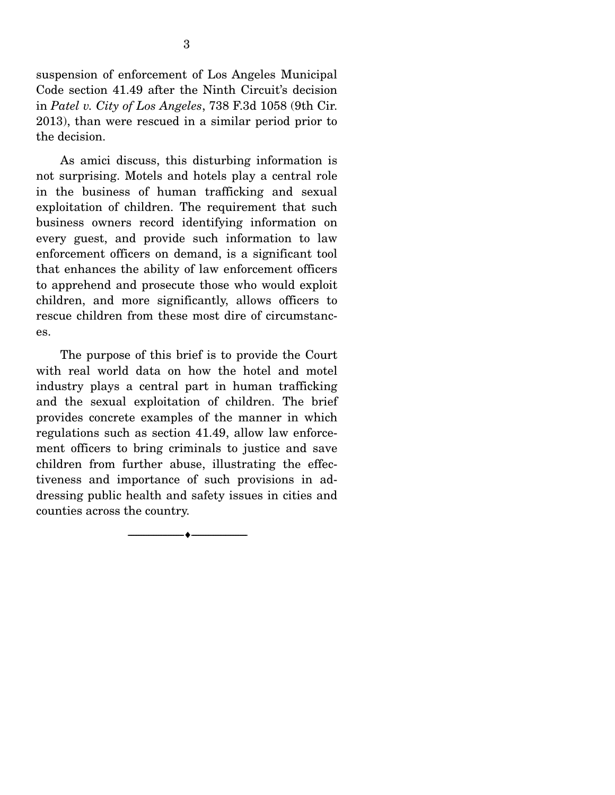suspension of enforcement of Los Angeles Municipal Code section 41.49 after the Ninth Circuit's decision in *Patel v. City of Los Angeles*, 738 F.3d 1058 (9th Cir. 2013), than were rescued in a similar period prior to the decision.

 As amici discuss, this disturbing information is not surprising. Motels and hotels play a central role in the business of human trafficking and sexual exploitation of children. The requirement that such business owners record identifying information on every guest, and provide such information to law enforcement officers on demand, is a significant tool that enhances the ability of law enforcement officers to apprehend and prosecute those who would exploit children, and more significantly, allows officers to rescue children from these most dire of circumstances.

 The purpose of this brief is to provide the Court with real world data on how the hotel and motel industry plays a central part in human trafficking and the sexual exploitation of children. The brief provides concrete examples of the manner in which regulations such as section 41.49, allow law enforcement officers to bring criminals to justice and save children from further abuse, illustrating the effectiveness and importance of such provisions in addressing public health and safety issues in cities and counties across the country.

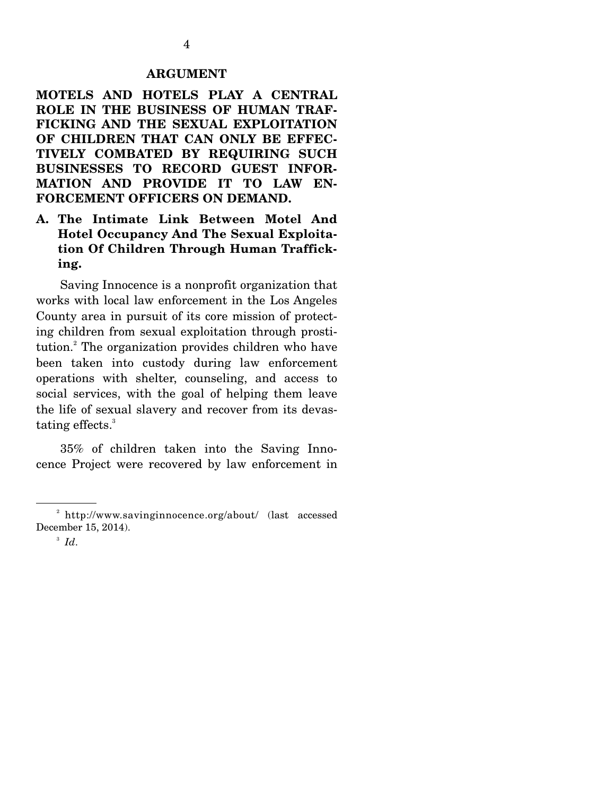#### **ARGUMENT**

**MOTELS AND HOTELS PLAY A CENTRAL ROLE IN THE BUSINESS OF HUMAN TRAF-FICKING AND THE SEXUAL EXPLOITATION OF CHILDREN THAT CAN ONLY BE EFFEC-TIVELY COMBATED BY REQUIRING SUCH BUSINESSES TO RECORD GUEST INFOR-MATION AND PROVIDE IT TO LAW EN-FORCEMENT OFFICERS ON DEMAND.** 

**A. The Intimate Link Between Motel And Hotel Occupancy And The Sexual Exploitation Of Children Through Human Trafficking.** 

Saving Innocence is a nonprofit organization that works with local law enforcement in the Los Angeles County area in pursuit of its core mission of protecting children from sexual exploitation through prostitution.<sup>2</sup> The organization provides children who have been taken into custody during law enforcement operations with shelter, counseling, and access to social services, with the goal of helping them leave the life of sexual slavery and recover from its devastating effects.<sup>3</sup>

 35% of children taken into the Saving Innocence Project were recovered by law enforcement in

<sup>&</sup>lt;sup>2</sup> http://www.savinginnocence.org/about/ (last accessed December 15, 2014).

 $^3$   $Id.$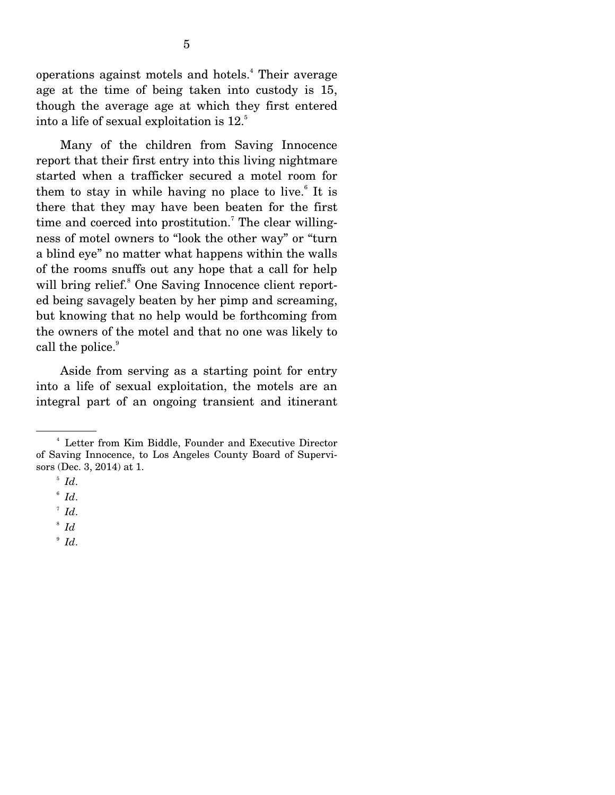operations against motels and hotels.<sup>4</sup> Their average age at the time of being taken into custody is 15, though the average age at which they first entered into a life of sexual exploitation is 12.<sup>5</sup>

 Many of the children from Saving Innocence report that their first entry into this living nightmare started when a trafficker secured a motel room for them to stay in while having no place to live. $^{6}$  It is there that they may have been beaten for the first time and coerced into prostitution.<sup>7</sup> The clear willingness of motel owners to "look the other way" or "turn a blind eye" no matter what happens within the walls of the rooms snuffs out any hope that a call for help will bring relief.<sup>8</sup> One Saving Innocence client reported being savagely beaten by her pimp and screaming, but knowing that no help would be forthcoming from the owners of the motel and that no one was likely to call the police.<sup>9</sup>

 Aside from serving as a starting point for entry into a life of sexual exploitation, the motels are an integral part of an ongoing transient and itinerant

 $^{\circ}$  *Id.* 

<sup>4</sup> Letter from Kim Biddle, Founder and Executive Director of Saving Innocence, to Los Angeles County Board of Supervisors (Dec. 3, 2014) at 1.

 $\int_{6}^{5}$  *Id*.

 $^7$  *Id.* 

<sup>8</sup> *Id*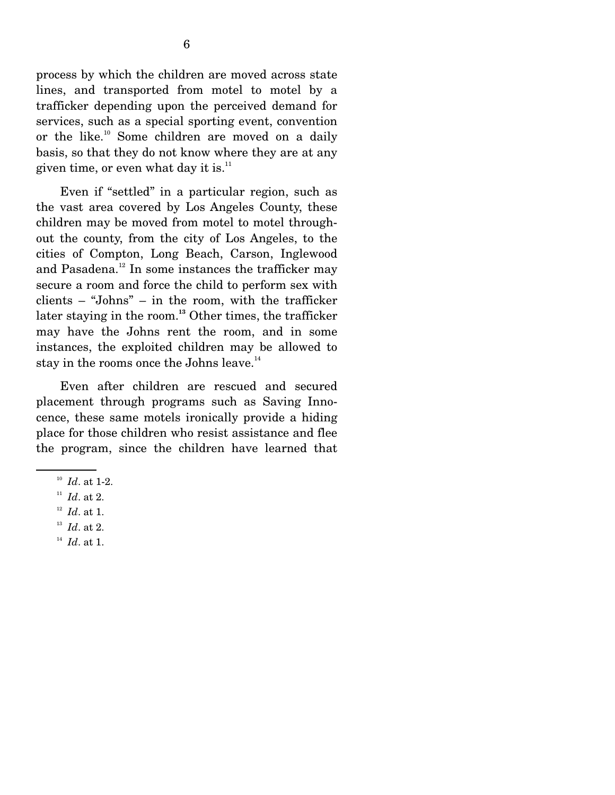process by which the children are moved across state lines, and transported from motel to motel by a trafficker depending upon the perceived demand for services, such as a special sporting event, convention or the like.<sup>10</sup> Some children are moved on a daily basis, so that they do not know where they are at any given time, or even what day it is. $^{11}$ 

 Even if "settled" in a particular region, such as the vast area covered by Los Angeles County, these children may be moved from motel to motel throughout the county, from the city of Los Angeles, to the cities of Compton, Long Beach, Carson, Inglewood and Pasadena.<sup>12</sup> In some instances the trafficker may secure a room and force the child to perform sex with clients – "Johns" – in the room, with the trafficker later staying in the room.**<sup>13</sup>** Other times, the trafficker may have the Johns rent the room, and in some instances, the exploited children may be allowed to stay in the rooms once the Johns leave.<sup>14</sup>

 Even after children are rescued and secured placement through programs such as Saving Innocence, these same motels ironically provide a hiding place for those children who resist assistance and flee the program, since the children have learned that

<sup>&</sup>lt;sup>10</sup> *Id.* at 1-2.<br><sup>11</sup> *Id.* at 2.

<sup>12</sup> *Id*. at 1.

<sup>&</sup>lt;sup>13</sup> *Id.* at 2.<br><sup>14</sup> *Id.* at 1.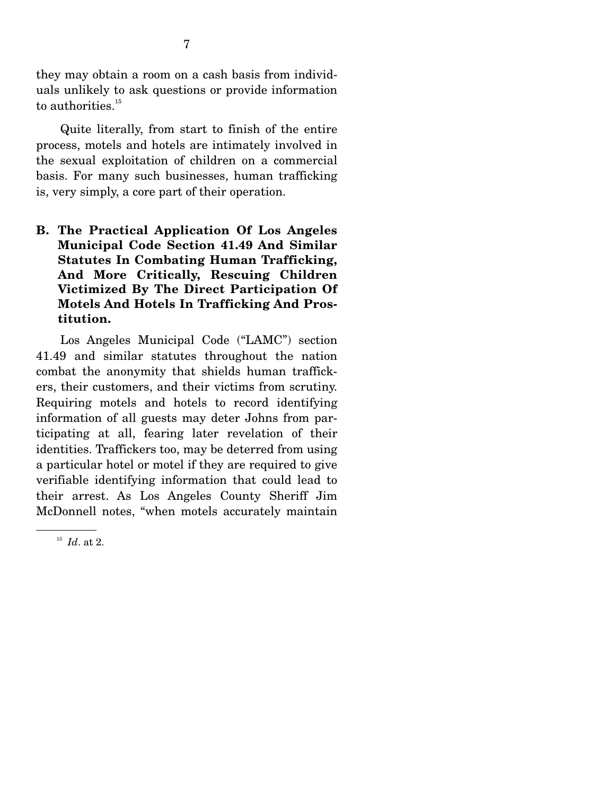they may obtain a room on a cash basis from individuals unlikely to ask questions or provide information to authorities.<sup>15</sup>

 Quite literally, from start to finish of the entire process, motels and hotels are intimately involved in the sexual exploitation of children on a commercial basis. For many such businesses, human trafficking is, very simply, a core part of their operation.

**B. The Practical Application Of Los Angeles Municipal Code Section 41.49 And Similar Statutes In Combating Human Trafficking, And More Critically, Rescuing Children Victimized By The Direct Participation Of Motels And Hotels In Trafficking And Prostitution.** 

Los Angeles Municipal Code ("LAMC") section 41.49 and similar statutes throughout the nation combat the anonymity that shields human traffickers, their customers, and their victims from scrutiny. Requiring motels and hotels to record identifying information of all guests may deter Johns from participating at all, fearing later revelation of their identities. Traffickers too, may be deterred from using a particular hotel or motel if they are required to give verifiable identifying information that could lead to their arrest. As Los Angeles County Sheriff Jim McDonnell notes, "when motels accurately maintain

<sup>15</sup> *Id*. at 2.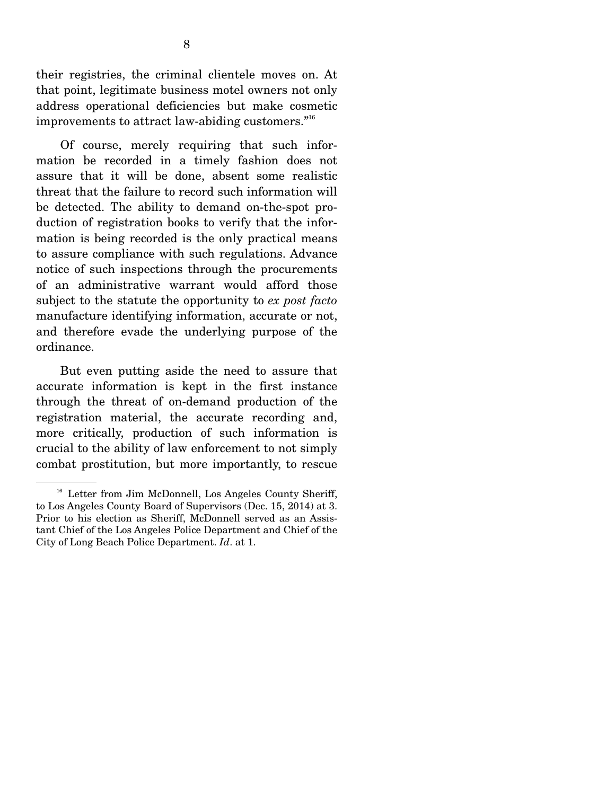their registries, the criminal clientele moves on. At that point, legitimate business motel owners not only address operational deficiencies but make cosmetic improvements to attract law-abiding customers."16

 Of course, merely requiring that such information be recorded in a timely fashion does not assure that it will be done, absent some realistic threat that the failure to record such information will be detected. The ability to demand on-the-spot production of registration books to verify that the information is being recorded is the only practical means to assure compliance with such regulations. Advance notice of such inspections through the procurements of an administrative warrant would afford those subject to the statute the opportunity to *ex post facto* manufacture identifying information, accurate or not, and therefore evade the underlying purpose of the ordinance.

 But even putting aside the need to assure that accurate information is kept in the first instance through the threat of on-demand production of the registration material, the accurate recording and, more critically, production of such information is crucial to the ability of law enforcement to not simply combat prostitution, but more importantly, to rescue

<sup>&</sup>lt;sup>16</sup> Letter from Jim McDonnell, Los Angeles County Sheriff, to Los Angeles County Board of Supervisors (Dec. 15, 2014) at 3. Prior to his election as Sheriff, McDonnell served as an Assistant Chief of the Los Angeles Police Department and Chief of the City of Long Beach Police Department. *Id*. at 1.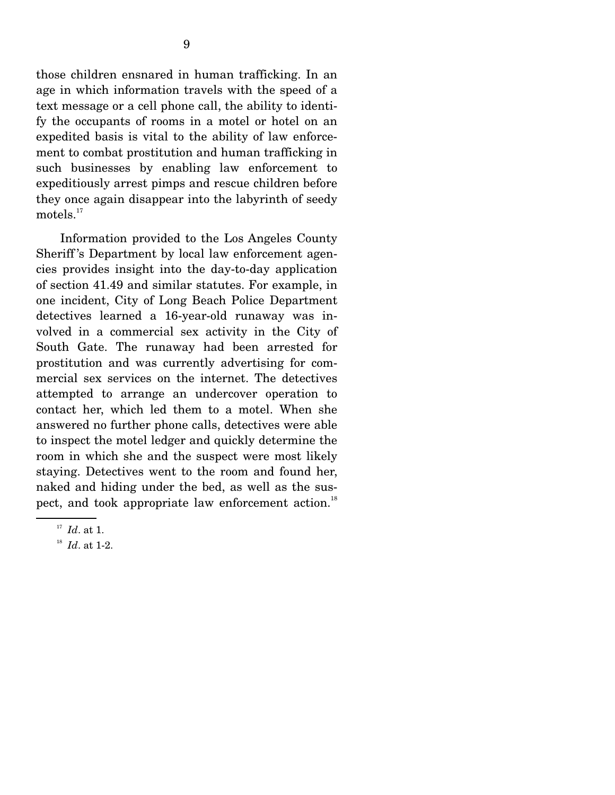those children ensnared in human trafficking. In an age in which information travels with the speed of a text message or a cell phone call, the ability to identify the occupants of rooms in a motel or hotel on an expedited basis is vital to the ability of law enforcement to combat prostitution and human trafficking in such businesses by enabling law enforcement to expeditiously arrest pimps and rescue children before they once again disappear into the labyrinth of seedy motels. $17$ 

 Information provided to the Los Angeles County Sheriff 's Department by local law enforcement agencies provides insight into the day-to-day application of section 41.49 and similar statutes. For example, in one incident, City of Long Beach Police Department detectives learned a 16-year-old runaway was involved in a commercial sex activity in the City of South Gate. The runaway had been arrested for prostitution and was currently advertising for commercial sex services on the internet. The detectives attempted to arrange an undercover operation to contact her, which led them to a motel. When she answered no further phone calls, detectives were able to inspect the motel ledger and quickly determine the room in which she and the suspect were most likely staying. Detectives went to the room and found her, naked and hiding under the bed, as well as the suspect, and took appropriate law enforcement action.<sup>18</sup>

<sup>&</sup>lt;sup>17</sup> *Id.* at 1.<br><sup>18</sup> *Id.* at 1-2.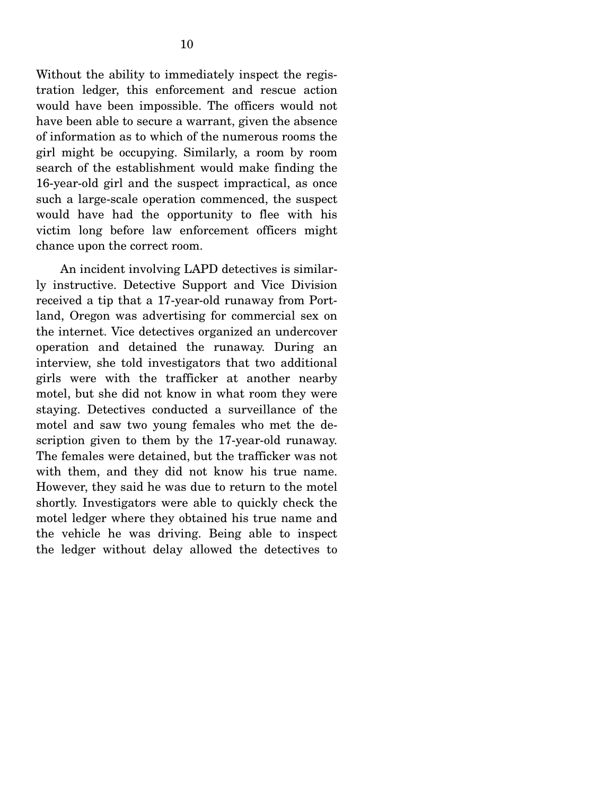Without the ability to immediately inspect the registration ledger, this enforcement and rescue action would have been impossible. The officers would not have been able to secure a warrant, given the absence of information as to which of the numerous rooms the girl might be occupying. Similarly, a room by room search of the establishment would make finding the 16-year-old girl and the suspect impractical, as once such a large-scale operation commenced, the suspect would have had the opportunity to flee with his victim long before law enforcement officers might chance upon the correct room.

 An incident involving LAPD detectives is similarly instructive. Detective Support and Vice Division received a tip that a 17-year-old runaway from Portland, Oregon was advertising for commercial sex on the internet. Vice detectives organized an undercover operation and detained the runaway. During an interview, she told investigators that two additional girls were with the trafficker at another nearby motel, but she did not know in what room they were staying. Detectives conducted a surveillance of the motel and saw two young females who met the description given to them by the 17-year-old runaway. The females were detained, but the trafficker was not with them, and they did not know his true name. However, they said he was due to return to the motel shortly. Investigators were able to quickly check the motel ledger where they obtained his true name and the vehicle he was driving. Being able to inspect the ledger without delay allowed the detectives to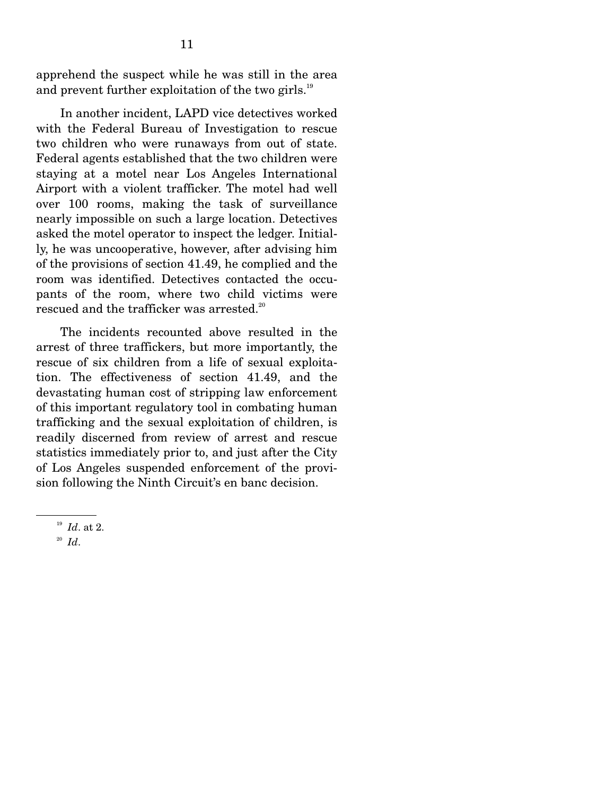apprehend the suspect while he was still in the area and prevent further exploitation of the two girls.<sup>19</sup>

 In another incident, LAPD vice detectives worked with the Federal Bureau of Investigation to rescue two children who were runaways from out of state. Federal agents established that the two children were staying at a motel near Los Angeles International Airport with a violent trafficker. The motel had well over 100 rooms, making the task of surveillance nearly impossible on such a large location. Detectives asked the motel operator to inspect the ledger. Initially, he was uncooperative, however, after advising him of the provisions of section 41.49, he complied and the room was identified. Detectives contacted the occupants of the room, where two child victims were rescued and the trafficker was arrested.<sup>20</sup>

 The incidents recounted above resulted in the arrest of three traffickers, but more importantly, the rescue of six children from a life of sexual exploitation. The effectiveness of section 41.49, and the devastating human cost of stripping law enforcement of this important regulatory tool in combating human trafficking and the sexual exploitation of children, is readily discerned from review of arrest and rescue statistics immediately prior to, and just after the City of Los Angeles suspended enforcement of the provision following the Ninth Circuit's en banc decision.

 $\frac{19}{20}$  *Id.* at 2.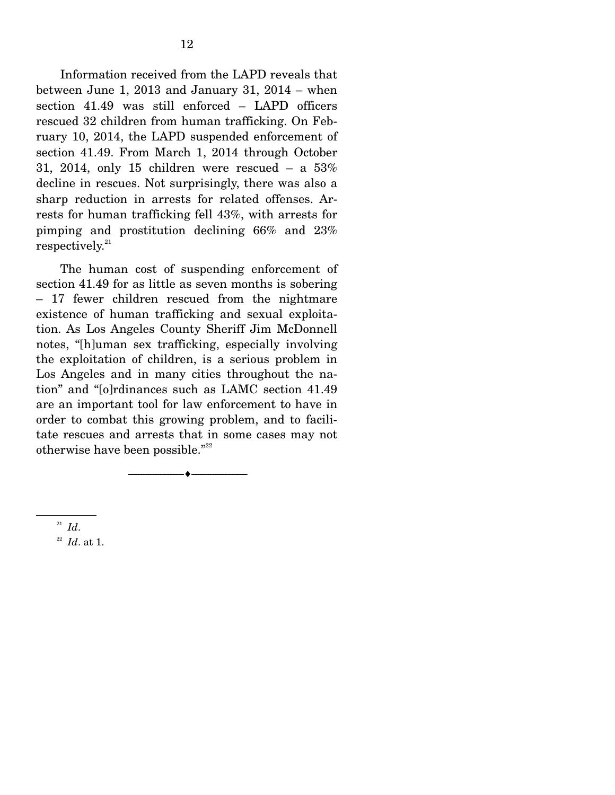Information received from the LAPD reveals that between June 1, 2013 and January 31, 2014 – when section 41.49 was still enforced – LAPD officers rescued 32 children from human trafficking. On February 10, 2014, the LAPD suspended enforcement of section 41.49. From March 1, 2014 through October 31, 2014, only 15 children were rescued  $-$  a 53% decline in rescues. Not surprisingly, there was also a sharp reduction in arrests for related offenses. Arrests for human trafficking fell 43%, with arrests for pimping and prostitution declining 66% and 23%  $respectively.<sup>21</sup>$ 

 The human cost of suspending enforcement of section 41.49 for as little as seven months is sobering – 17 fewer children rescued from the nightmare existence of human trafficking and sexual exploitation. As Los Angeles County Sheriff Jim McDonnell notes, "[h]uman sex trafficking, especially involving the exploitation of children, is a serious problem in Los Angeles and in many cities throughout the nation" and "[o]rdinances such as LAMC section 41.49 are an important tool for law enforcement to have in order to combat this growing problem, and to facilitate rescues and arrests that in some cases may not otherwise have been possible."<sup>22</sup>

--------------------------------- ---------------------------------

 $\frac{21}{22}$  *Id.* at 1.